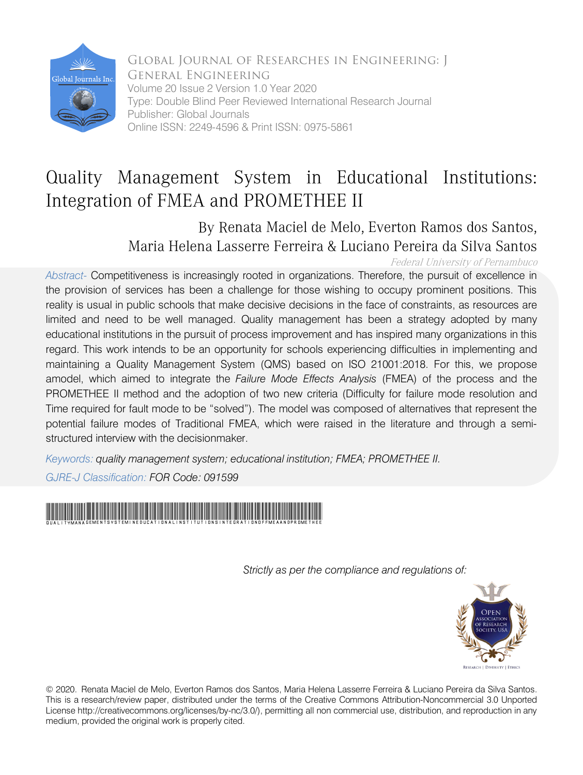

Global Journal of Researches in Engineering: J General Engineering Volume 20 Issue 2 Version 1.0 Year 2020 Type: Double Blind Peer Reviewed International Research Journal Publisher: Global Journals Online ISSN: 2249-4596 & Print ISSN: 0975-5861

## Quality Management System in Educational Institutions: Integration of FMEA and PROMETHEE II

By Renata Maciel de Melo, Everton Ramos dos Santos, Maria Helena Lasserre Ferreira & Luciano Pereira da Silva Santos

Federal University of Pernambuco

*Abstract-* Competitiveness is increasingly rooted in organizations. Therefore, the pursuit of excellence in the provision of services has been a challenge for those wishing to occupy prominent positions. This reality is usual in public schools that make decisive decisions in the face of constraints, as resources are limited and need to be well managed. Quality management has been a strategy adopted by many educational institutions in the pursuit of process improvement and has inspired many organizations in this regard. This work intends to be an opportunity for schools experiencing difficulties in implementing and maintaining a Quality Management System (QMS) based on ISO 21001:2018. For this, we propose amodel, which aimed to integrate the *Failure Mode Effects Analysis* (FMEA) of the process and the PROMETHEE II method and the adoption of two new criteria (Difficulty for failure mode resolution and Time required for fault mode to be "solved"). The model was composed of alternatives that represent the potential failure modes of Traditional FMEA, which were raised in the literature and through a semistructured interview with the decisionmaker.

*Keywords: quality management system; educational institution; FMEA; PROMETHEE II.*

*GJRE-J Classification: FOR Code: 091599*



 *Strictly as per the compliance and regulations of:*



© 2020. Renata Maciel de Melo, Everton Ramos dos Santos, Maria Helena Lasserre Ferreira & Luciano Pereira da Silva Santos. This is a research/review paper, distributed under the terms of the Creative Commons Attribution-Noncommercial 3.0 Unported License http://creativecommons.org/licenses/by-nc/3.0/), permitting all non commercial use, distribution, and reproduction in any medium, provided the original work is properly cited.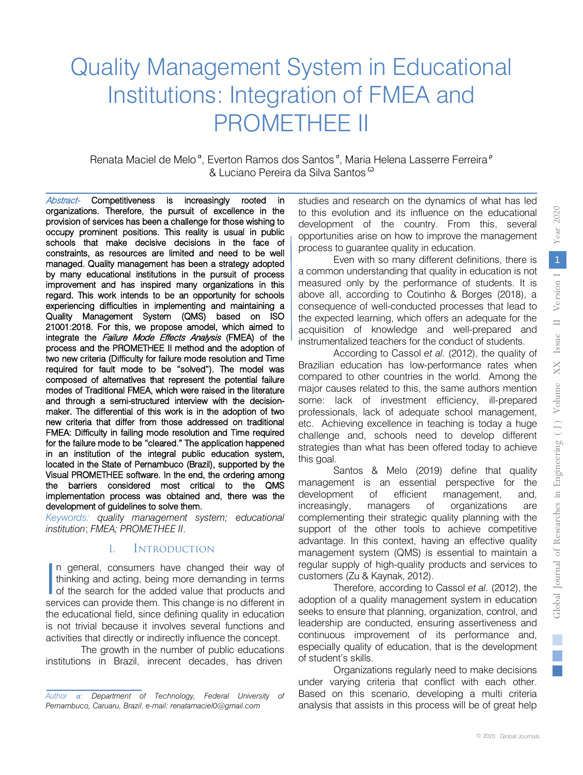$\overline{\phantom{0}}$ 

ਦ

# Quality Management System in Educational Institutions: Integration of FMEA and PROMETHEE II

Renata Maciel de Melo<sup>a</sup>, Everton Ramos dos Santos<sup>6</sup>, Maria Helena Lasserre Ferreira<sup>p</sup> & Luciano Pereira da Silva Santos <sup>ω</sup>

Abstract- Competitiveness is increasingly rooted in organizations. Therefore, the pursuit of excellence in the provision of services has been a challenge for those wishing to occupy prominent positions. This reality is usual in public schools that make decisive decisions in the face of constraints, as resources are limited and need to be well managed. Quality management has been a strategy adopted by many educational institutions in the pursuit of process improvement and has inspired many organizations in this regard. This work intends to be an opportunity for schools experiencing difficulties in implementing and maintaining a Quality Management System (QMS) based on ISO 21001:2018. For this, we propose amodel, which aimed to integrate the Failure Mode Effects Analysis (FMEA) of the process and the PROMETHEE II method and the adoption of two new criteria (Difficulty for failure mode resolution and Time required for fault mode to be "solved"). The model was composed of alternatives that represent the potential failure modes of Traditional FMEA, which were raised in the literature and through a semi-structured interview with the decisionmaker. The differential of this work is in the adoption of two new criteria that differ from those addressed on traditional FMEA: Difficulty in failing mode resolution and Time required for the failure mode to be "cleared." The application happened in an institution of the integral public education system, located in the State of Pernambuco (Brazil), supported by the Visual PROMETHEE software. In the end, the ordering among the barriers considered most critical to the QMS implementation process was obtained and, there was the development of guidelines to solve them.

*Keywords: quality management system; educational institution*; *FMEA; PROMETHEE II*.

## I. Introduction

n general, consumers have changed their way of thinking and acting, being more demanding in terms In general, consumers have changed their way of<br>thinking and acting, being more demanding in terms<br>of the search for the added value that products and<br>sensions can provide them. This change is no different in services can provide them. This change is no different in the educational field, since defining quality in education is not trivial because it involves several functions and activities that directly or indirectly influence the concept.

The growth in the number of public educations institutions in Brazil, inrecent decades, has driven

studies and research on the dynamics of what has led to this evolution and its influence on the educational development of the country. From this, several opportunities arise on how to improve the management process to guarantee quality in education.

Even with so many different definitions, there is a common understanding that quality in education is not measured only by the performance of students. It is above all, according to Coutinho & Borges (2018), a consequence of well-conducted processes that lead to the expected learning, which offers an adequate for the acquisition of knowledge and well-prepared and instrumentalized teachers for the conduct of students.

According to Cassol *et al.* (2012), the quality of Brazilian education has low-performance rates when compared to other countries in the world. Among the major causes related to this, the same authors mention some: lack of investment efficiency, ill-prepared professionals, lack of adequate school management, etc. Achieving excellence in teaching is today a huge challenge and, schools need to develop different strategies than what has been offered today to achieve this goal.

Santos & Melo (2019) define that quality management is an essential perspective for the development of efficient management, and, increasingly, managers of organizations are complementing their strategic quality planning with the support of the other tools to achieve competitive advantage. In this context, having an effective quality management system (QMS) is essential to maintain a regular supply of high-quality products and services to customers (Zu & Kaynak, 2012).

Therefore, according to Cassol *et al.* (2012), the adoption of a quality management system in education seeks to ensure that planning, organization, control, and leadership are conducted, ensuring assertiveness and continuous improvement of its performance and, especially quality of education, that is the development of student's skills.

Organizations regularly need to make decisions under varying criteria that conflict with each other. Based on this scenario, developing a multi criteria analysis that assists in this process will be of great help

*Author α: Department of Technology, Federal University of Pernambuco, Caruaru, Brazil. e-mail: renatamaciel0@gmail.com*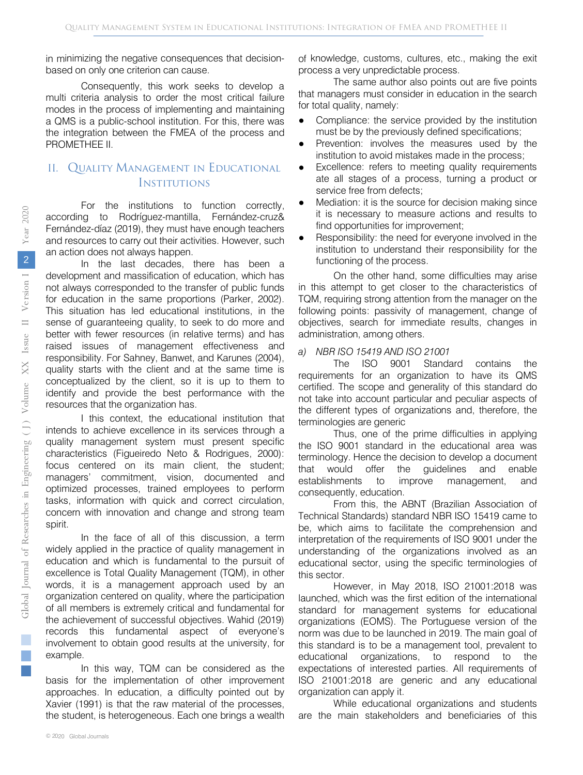in minimizing the negative consequences that decisionbased on only one criterion can cause.

Consequently, this work seeks to develop a multi criteria analysis to order the most critical failure modes in the process of implementing and maintaining a QMS is a public-school institution. For this, there was the integration between the FMEA of the process and PROMETHEE II.

## II. Quality Management in Educational **INSTITUTIONS**

For the institutions to function correctly, according to Rodríguez-mantilla, Fernández-cruz& Fernández-díaz (2019), they must have enough teachers and resources to carry out their activities. However, such an action does not always happen.

In the last decades, there has been a development and massification of education, which has not always corresponded to the transfer of public funds for education in the same proportions (Parker, 2002). This situation has led educational institutions, in the sense of guaranteeing quality, to seek to do more and better with fewer resources (in relative terms) and has raised issues of management effectiveness and responsibility. For Sahney, Banwet, and Karunes (2004), quality starts with the client and at the same time is conceptualized by the client, so it is up to them to identify and provide the best performance with the resources that the organization has.

I this context, the educational institution that intends to achieve excellence in its services through a quality management system must present specific characteristics (Figueiredo Neto & Rodrigues, 2000): focus centered on its main client, the student; managers' commitment, vision, documented and optimized processes, trained employees to perform tasks, information with quick and correct circulation, concern with innovation and change and strong team spirit.

In the face of all of this discussion, a term widely applied in the practice of quality management in education and which is fundamental to the pursuit of excellence is Total Quality Management (TQM), in other words, it is a management approach used by an organization centered on quality, where the participation of all members is extremely critical and fundamental for the achievement of successful objectives. Wahid (2019) records this fundamental aspect of everyone's involvement to obtain good results at the university, for example.

In this way, TQM can be considered as the basis for the implementation of other improvement approaches. In education, a difficulty pointed out by Xavier (1991) is that the raw material of the processes, the student, is heterogeneous. Each one brings a wealth of knowledge, customs, cultures, etc., making the exit process a very unpredictable process.

The same author also points out are five points that managers must consider in education in the search for total quality, namely:

- Compliance: the service provided by the institution must be by the previously defined specifications;
- Prevention: involves the measures used by the institution to avoid mistakes made in the process;
- Excellence: refers to meeting quality requirements ate all stages of a process, turning a product or service free from defects;
- Mediation: it is the source for decision making since it is necessary to measure actions and results to find opportunities for improvement;
- Responsibility: the need for everyone involved in the institution to understand their responsibility for the functioning of the process.

On the other hand, some difficulties may arise in this attempt to get closer to the characteristics of TQM, requiring strong attention from the manager on the following points: passivity of management, change of objectives, search for immediate results, changes in administration, among others.

#### *a) NBR ISO 15419 AND ISO 21001*

The ISO 9001 Standard contains the requirements for an organization to have its QMS certified. The scope and generality of this standard do not take into account particular and peculiar aspects of the different types of organizations and, therefore, the terminologies are generic

Thus, one of the prime difficulties in applying the ISO 9001 standard in the educational area was terminology. Hence the decision to develop a document that would offer the guidelines and enable establishments to improve management, and consequently, education.

From this, the ABNT (Brazilian Association of Technical Standards) standard NBR ISO 15419 came to be, which aims to facilitate the comprehension and interpretation of the requirements of ISO 9001 under the understanding of the organizations involved as an educational sector, using the specific terminologies of this sector.

However, in May 2018, ISO 21001:2018 was launched, which was the first edition of the international standard for management systems for educational organizations (EOMS). The Portuguese version of the norm was due to be launched in 2019. The main goal of this standard is to be a management tool, prevalent to educational organizations, to respond to the expectations of interested parties. All requirements of ISO 21001:2018 are generic and any educational organization can apply it.

While educational organizations and students are the main stakeholders and beneficiaries of this

P. **Contract Contract Contract Contract Contract Contract Contract Contract Contract Contract Contract Contract Co**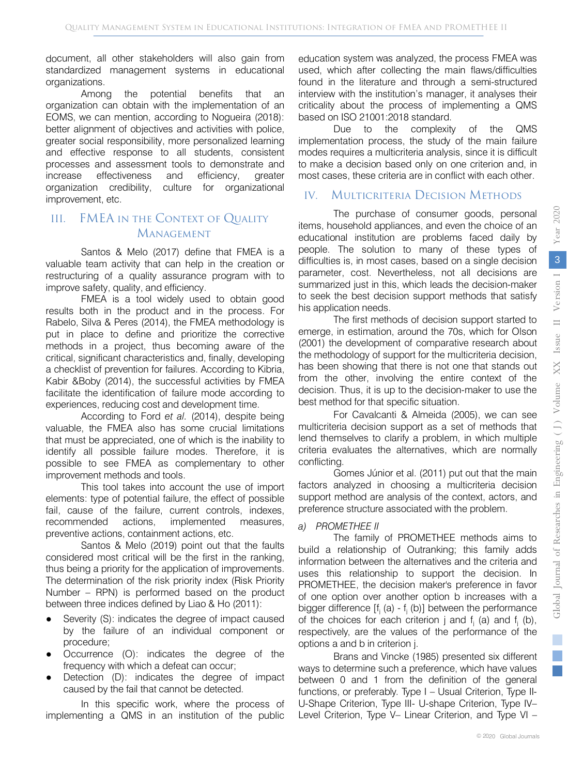document, all other stakeholders will also gain from standardized management systems in educational organizations.

Among the potential benefits that an organization can obtain with the implementation of an EOMS, we can mention, according to Nogueira (2018): better alignment of objectives and activities with police, greater social responsibility, more personalized learning and effective response to all students, consistent processes and assessment tools to demonstrate and increase effectiveness and efficiency, greater organization credibility, culture for organizational improvement, etc.

## III. FMEA in the Context of Quality Management

Santos & Melo (2017) define that FMEA is a valuable team activity that can help in the creation or restructuring of a quality assurance program with to improve safety, quality, and efficiency.

FMEA is a tool widely used to obtain good results both in the product and in the process. For Rabelo, Silva & Peres (2014), the FMEA methodology is put in place to define and prioritize the corrective methods in a project, thus becoming aware of the critical, significant characteristics and, finally, developing a checklist of prevention for failures. According to Kibria, Kabir &Boby (2014), the successful activities by FMEA facilitate the identification of failure mode according to experiences, reducing cost and development time.

According to Ford *et al.* (2014), despite being valuable, the FMEA also has some crucial limitations that must be appreciated, one of which is the inability to identify all possible failure modes. Therefore, it is possible to see FMEA as complementary to other improvement methods and tools.

This tool takes into account the use of import elements: type of potential failure, the effect of possible fail, cause of the failure, current controls, indexes, recommended actions, implemented measures, preventive actions, containment actions, etc.

Santos & Melo (2019) point out that the faults considered most critical will be the first in the ranking, thus being a priority for the application of improvements. The determination of the risk priority index (Risk Priority Number – RPN) is performed based on the product between three indices defined by Liao & Ho (2011):

- Severity (S): indicates the degree of impact caused by the failure of an individual component or procedure;
- Occurrence (O): indicates the degree of the frequency with which a defeat can occur;
- Detection (D): indicates the degree of impact caused by the fail that cannot be detected.

In this specific work, where the process of implementing a QMS in an institution of the public

education system was analyzed, the process FMEA was used, which after collecting the main flaws/difficulties found in the literature and through a semi-structured interview with the institution's manager, it analyses their criticality about the process of implementing a QMS based on ISO 21001:2018 standard.

Due to the complexity of the QMS implementation process, the study of the main failure modes requires a multicriteria analysis, since it is difficult to make a decision based only on one criterion and, in most cases, these criteria are in conflict with each other.

## IV. MULTICRITERIA DECISION METHODS

The purchase of consumer goods, personal items, household appliances, and even the choice of an educational institution are problems faced daily by people. The solution to many of these types of difficulties is, in most cases, based on a single decision parameter, cost. Nevertheless, not all decisions are summarized just in this, which leads the decision-maker to seek the best decision support methods that satisfy his application needs.

The first methods of decision support started to emerge, in estimation, around the 70s, which for Olson (2001) the development of comparative research about the methodology of support for the multicriteria decision, has been showing that there is not one that stands out from the other, involving the entire context of the decision. Thus, it is up to the decision-maker to use the best method for that specific situation.

For Cavalcanti & Almeida (2005), we can see multicriteria decision support as a set of methods that lend themselves to clarify a problem, in which multiple criteria evaluates the alternatives, which are normally conflicting.

Gomes Júnior et al. (2011) put out that the main factors analyzed in choosing a multicriteria decision support method are analysis of the context, actors, and preference structure associated with the problem.

#### *a) PROMETHEE II*

The family of PROMETHEE methods aims to build a relationship of Outranking; this family adds information between the alternatives and the criteria and uses this relationship to support the decision. In PROMETHEE, the decision maker's preference in favor of one option over another option b increases with a bigger difference  $[f_i(a) - f_j(b)]$  between the performance of the choices for each criterion  $i$  and  $f_i$  (a) and  $f_i$  (b), respectively, are the values of the performance of the options a and b in criterion j.

Brans and Vincke (1985) presented six different ways to determine such a preference, which have values between 0 and 1 from the definition of the general functions, or preferably. Type I – Usual Criterion, Type II-U-Shape Criterion, Type III- U-shape Criterion, Type IV– Level Criterion, Type V– Linear Criterion, and Type VI –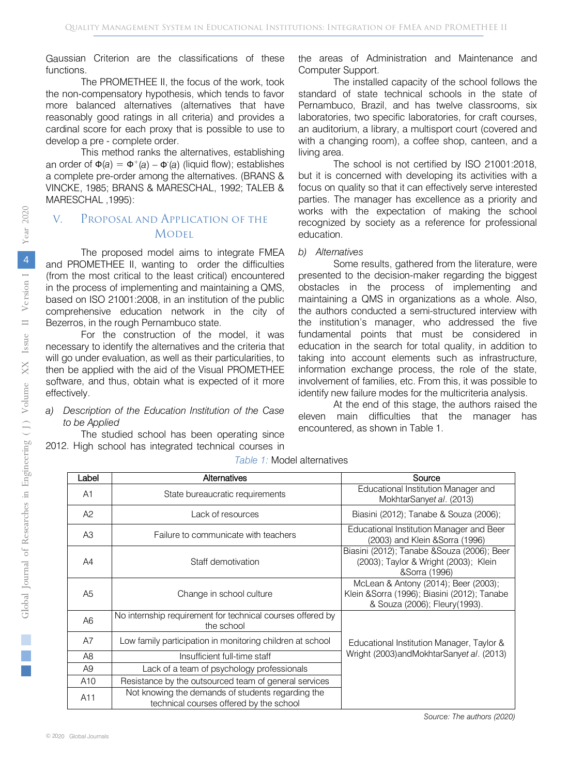Gaussian Criterion are the classifications of these functions.

The PROMETHEE II, the focus of the work, took the non-compensatory hypothesis, which tends to favor more balanced alternatives (alternatives that have reasonably good ratings in all criteria) and provides a cardinal score for each proxy that is possible to use to develop a pre - complete order.

This method ranks the alternatives, establishing an order of  $\Phi(a) = \Phi^+(a) - \Phi^-(a)$  (liquid flow); establishes a complete pre-order among the alternatives. (BRANS & VINCKE, 1985; BRANS & MARESCHAL, 1992; TALEB & MARESCHAL ,1995):

## V. Proposal and Application of the **MODEL**

The proposed model aims to integrate FMEA and PROMETHEE II, wanting to order the difficulties (from the most critical to the least critical) encountered in the process of implementing and maintaining a QMS, based on ISO 21001:2008, in an institution of the public comprehensive education network in the city of Bezerros, in the rough Pernambuco state.

For the construction of the model, it was necessary to identify the alternatives and the criteria that will go under evaluation, as well as their particularities, to then be applied with the aid of the Visual PROMETHEE software, and thus, obtain what is expected of it more effectively.

#### *a) Description of the Education Institution of the Case to be Applied*

The studied school has been operating since 2012. High school has integrated technical courses in

the areas of Administration and Maintenance and Computer Support.

The installed capacity of the school follows the standard of state technical schools in the state of Pernambuco, Brazil, and has twelve classrooms, six laboratories, two specific laboratories, for craft courses, an auditorium, a library, a multisport court (covered and with a changing room), a coffee shop, canteen, and a living area.

The school is not certified by ISO 21001:2018, but it is concerned with developing its activities with a focus on quality so that it can effectively serve interested parties. The manager has excellence as a priority and works with the expectation of making the school recognized by society as a reference for professional education.

#### *b) Alternatives*

Some results, gathered from the literature, were presented to the decision-maker regarding the biggest obstacles in the process of implementing and maintaining a QMS in organizations as a whole. Also, the authors conducted a semi-structured interview with the institution's manager, who addressed the five fundamental points that must be considered in education in the search for total quality, in addition to taking into account elements such as infrastructure, information exchange process, the role of the state, involvement of families, etc. From this, it was possible to identify new failure modes for the multicriteria analysis.

At the end of this stage, the authors raised the eleven main difficulties that the manager has encountered, as shown in Table 1.

| Label          | Alternatives                                                                                 | Source                                                                                                               |
|----------------|----------------------------------------------------------------------------------------------|----------------------------------------------------------------------------------------------------------------------|
| A <sub>1</sub> | State bureaucratic requirements                                                              | Educational Institution Manager and<br>MokhtarSanyet al. (2013)                                                      |
| A2             | Lack of resources                                                                            | Biasini (2012); Tanabe & Souza (2006);                                                                               |
| A <sub>3</sub> | Failure to communicate with teachers                                                         | Educational Institution Manager and Beer<br>(2003) and Klein & Sorra (1996)                                          |
| A4             | Staff demotivation                                                                           | Biasini (2012); Tanabe & Souza (2006); Beer<br>(2003); Taylor & Wright (2003); Klein<br>&Sorra (1996)                |
| A <sub>5</sub> | Change in school culture                                                                     | McLean & Antony (2014); Beer (2003);<br>Klein &Sorra (1996); Biasini (2012); Tanabe<br>& Souza (2006); Fleury(1993). |
| A <sub>6</sub> | No internship requirement for technical courses offered by<br>the school                     |                                                                                                                      |
| A7             | Low family participation in monitoring children at school                                    | Educational Institution Manager, Taylor &                                                                            |
| A <sub>8</sub> | Insufficient full-time staff                                                                 | Wright (2003) and Mokhtar Sanyet al. (2013)                                                                          |
| A9             | Lack of a team of psychology professionals                                                   |                                                                                                                      |
| A10            | Resistance by the outsourced team of general services                                        |                                                                                                                      |
| A11            | Not knowing the demands of students regarding the<br>technical courses offered by the school |                                                                                                                      |

#### *Table 1:* Model alternatives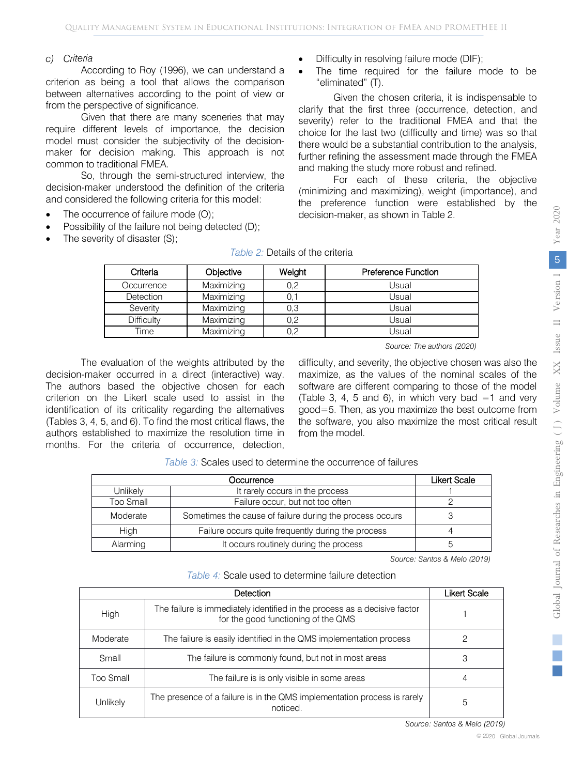#### *c) Criteria*

According to Roy (1996), we can understand a criterion as being a tool that allows the comparison between alternatives according to the point of view or from the perspective of significance.

Given that there are many sceneries that may require different levels of importance, the decision model must consider the subjectivity of the decisionmaker for decision making. This approach is not common to traditional FMEA.

So, through the semi-structured interview, the decision-maker understood the definition of the criteria and considered the following criteria for this model:

- The occurrence of failure mode (O);
- Possibility of the failure not being detected (D);
- The severity of disaster (S);
- Difficulty in resolving failure mode (DIF);
- The time required for the failure mode to be "eliminated" (T).

Given the chosen criteria, it is indispensable to clarify that the first three (occurrence, detection, and severity) refer to the traditional FMEA and that the choice for the last two (difficulty and time) was so that there would be a substantial contribution to the analysis, further refining the assessment made through the FMEA and making the study more robust and refined.

For each of these criteria, the objective (minimizing and maximizing), weight (importance), and the preference function were established by the decision-maker, as shown in Table 2.

|                | $\overline{a}$<br>$\mathcal{L}$<br>į<br>$\overline{a}$<br>ś<br>I<br>$\overline{1}$<br>Į |
|----------------|-----------------------------------------------------------------------------------------|
|                | j<br>d<br>ì                                                                             |
|                |                                                                                         |
|                |                                                                                         |
|                | $\frac{1}{2}$<br>j<br>ï<br>Ï                                                            |
|                | į<br>ו<br>ו                                                                             |
|                | sue<br>ì                                                                                |
|                | VV<br>$\overline{\phantom{a}}$<br>į                                                     |
|                | ume<br>ì<br>ï<br>j                                                                      |
|                |                                                                                         |
|                |                                                                                         |
|                | <b>CALLAL</b><br>ĺ<br>í<br>I<br>j                                                       |
|                | Ę<br>$\frac{1}{2}$<br>I,                                                                |
| I              | į<br>Ĵ,                                                                                 |
| j              | j<br>$\overline{\phantom{a}}$                                                           |
|                | î                                                                                       |
| $\overline{a}$ | I<br>$\frac{1}{2}$                                                                      |
|                | <b>TP(IDE)</b><br>I<br>i                                                                |

| Criteria         | Objective  | Weight | <b>Preference Function</b> |
|------------------|------------|--------|----------------------------|
| Occurrence       | Maximizing | 0,2    | Usual                      |
| <b>Detection</b> | Maximizing |        | Usual                      |
| Severity         | Maximizing | 0,3    | Usual                      |
| Difficulty       | Maximizing | 0,2    | Usual                      |
| Time             | Maximizing | 0.2    | Usual                      |

#### *Table 2:* Details of the criteria

 *Source: The authors (2020)*

The evaluation of the weights attributed by the decision-maker occurred in a direct (interactive) way. The authors based the objective chosen for each criterion on the Likert scale used to assist in the identification of its criticality regarding the alternatives (Tables 3, 4, 5, and 6). To find the most critical flaws, the authors established to maximize the resolution time in months. For the criteria of occurrence, detection,

difficulty, and severity, the objective chosen was also the maximize, as the values of the nominal scales of the software are different comparing to those of the model (Table 3, 4, 5 and 6), in which very bad  $=1$  and very good=5. Then, as you maximize the best outcome from the software, you also maximize the most critical result from the model.

| <i>Table 3:</i> Scales used to determine the occurrence of failures |  |
|---------------------------------------------------------------------|--|
|                                                                     |  |

|           | <b>Likert Scale</b>                                      |  |  |  |  |  |  |
|-----------|----------------------------------------------------------|--|--|--|--|--|--|
| Unlikely  | It rarely occurs in the process                          |  |  |  |  |  |  |
| Too Small | Failure occur, but not too often                         |  |  |  |  |  |  |
| Moderate  | Sometimes the cause of failure during the process occurs |  |  |  |  |  |  |
| High      | Failure occurs quite frequently during the process       |  |  |  |  |  |  |
| Alarming  | It occurs routinely during the process                   |  |  |  |  |  |  |

 *Source: Santos & Melo (2019)*

*Table 4:* Scale used to determine failure detection

|           | Likert Scale                                                                                                     |   |  |  |  |  |
|-----------|------------------------------------------------------------------------------------------------------------------|---|--|--|--|--|
| High      | The failure is immediately identified in the process as a decisive factor<br>for the good functioning of the QMS |   |  |  |  |  |
| Moderate  | The failure is easily identified in the QMS implementation process                                               |   |  |  |  |  |
| Small     | The failure is commonly found, but not in most areas                                                             | 3 |  |  |  |  |
| Too Small | The failure is is only visible in some areas                                                                     |   |  |  |  |  |
| Unlikely  | The presence of a failure is in the QMS implementation process is rarely<br>noticed.                             | 5 |  |  |  |  |

*Source: Santos & Melo (2019)*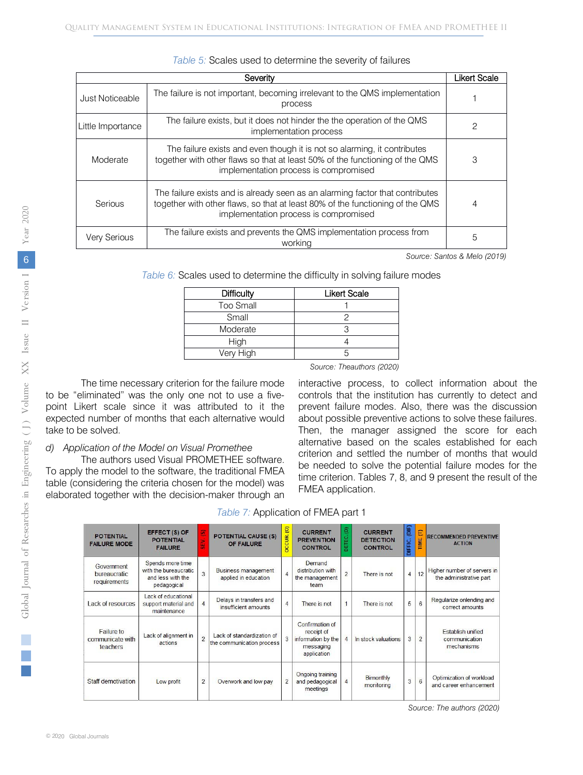|                     | <b>Likert Scale</b><br>Severity                                                                                                                                                                         |   |  |  |  |  |  |  |
|---------------------|---------------------------------------------------------------------------------------------------------------------------------------------------------------------------------------------------------|---|--|--|--|--|--|--|
| Just Noticeable     | The failure is not important, becoming irrelevant to the QMS implementation<br>process                                                                                                                  |   |  |  |  |  |  |  |
| Little Importance   | The failure exists, but it does not hinder the the operation of the QMS<br>implementation process                                                                                                       |   |  |  |  |  |  |  |
| Moderate            | The failure exists and even though it is not so alarming, it contributes<br>together with other flaws so that at least 50% of the functioning of the QMS<br>implementation process is compromised       | 3 |  |  |  |  |  |  |
| Serious             | The failure exists and is already seen as an alarming factor that contributes<br>together with other flaws, so that at least 80% of the functioning of the QMS<br>implementation process is compromised | 4 |  |  |  |  |  |  |
| <b>Very Serious</b> | The failure exists and prevents the QMS implementation process from<br>working                                                                                                                          |   |  |  |  |  |  |  |

|  |  |  | Table 5: Scales used to determine the severity of failures |  |  |
|--|--|--|------------------------------------------------------------|--|--|
|--|--|--|------------------------------------------------------------|--|--|

 *Source: Santos & Melo (2019)*

*Table 6:* Scales used to determine the difficulty in solving failure modes

| <b>Difficulty</b> | <b>Likert Scale</b> |
|-------------------|---------------------|
| Too Small         |                     |
| Small             |                     |
| Moderate          |                     |
| <b>High</b>       |                     |
| Very High         |                     |

 *Source: Theauthors (2020)*

The time necessary criterion for the failure mode to be "eliminated" was the only one not to use a fivepoint Likert scale since it was attributed to it the expected number of months that each alternative would take to be solved.

#### *d) Application of the Model on Visual Promethee*

The authors used Visual PROMETHEE software. To apply the model to the software, the traditional FMEA table (considering the criteria chosen for the model) was elaborated together with the decision-maker through an interactive process, to collect information about the controls that the institution has currently to detect and prevent failure modes. Also, there was the discussion about possible preventive actions to solve these failures. Then, the manager assigned the score for each alternative based on the scales established for each criterion and settled the number of months that would be needed to solve the potential failure modes for the time criterion. Tables 7, 8, and 9 present the result of the FMEA application.

| Table 7: Application of FMEA part 1 |  |  |
|-------------------------------------|--|--|
|                                     |  |  |

| <b>POTENTIAL</b><br><b>FAILURE MODE</b>    | EFFECT (S) OF<br><b>POTENTIAL</b><br><b>FAILURE</b>                           | Ξ<br>×<br>ш    | <b>POTENTIAL CAUSE (S)</b><br>OF FAILURE                | DCCUR.(O)      | <b>CURRENT</b><br><b>PREVENTION</b><br><b>CONTROL</b>                           | ê<br>Ë<br>B    | <b>CURRENT</b><br><b>DETECTION</b><br><b>CONTROL</b> | (DIF)<br>DIFFIC. | Ε<br><b>TIME</b> | <b>RECOMMENDED PREVENTIVE</b><br><b>ACTION</b>         |
|--------------------------------------------|-------------------------------------------------------------------------------|----------------|---------------------------------------------------------|----------------|---------------------------------------------------------------------------------|----------------|------------------------------------------------------|------------------|------------------|--------------------------------------------------------|
| Government<br>bureaucratic<br>requirements | Spends more time<br>with the bureaucratic<br>and less with the<br>pedagogical | $\overline{3}$ | Business management<br>applied in education             | $\overline{A}$ | Demand<br>distribution with<br>the management<br>team                           | $\overline{2}$ | There is not                                         | $\overline{4}$   | 12               | Higher number of servers in<br>the administrative part |
| Lack of resources                          | Lack of educational<br>support material and<br>maintenance                    | $\overline{4}$ | Delays in transfers and<br>insufficient amounts         | $\overline{4}$ | There is not                                                                    |                | There is not                                         | 5                | 6                | Regularize onlending and<br>correct amounts            |
| Failure to<br>communicate with<br>teachers | Lack of alignment in<br>actions                                               | $\overline{c}$ | Lack of standardization of<br>the communication process | $\overline{3}$ | Confirmation of<br>receipt of<br>information by the<br>messaging<br>application |                | In stock valuations                                  | 3                | $\overline{2}$   | Establish unified<br>communication<br>mechanisms       |
| Staff demotivation                         | Low profit                                                                    | $\overline{2}$ | Overwork and low pay                                    | $\overline{2}$ | Ongoing training<br>and pedagogical<br>meetings                                 | $\overline{4}$ | Bimonthly<br>monitoring                              | $\overline{3}$   | $6\overline{6}$  | Optimization of workload<br>and career enhancement     |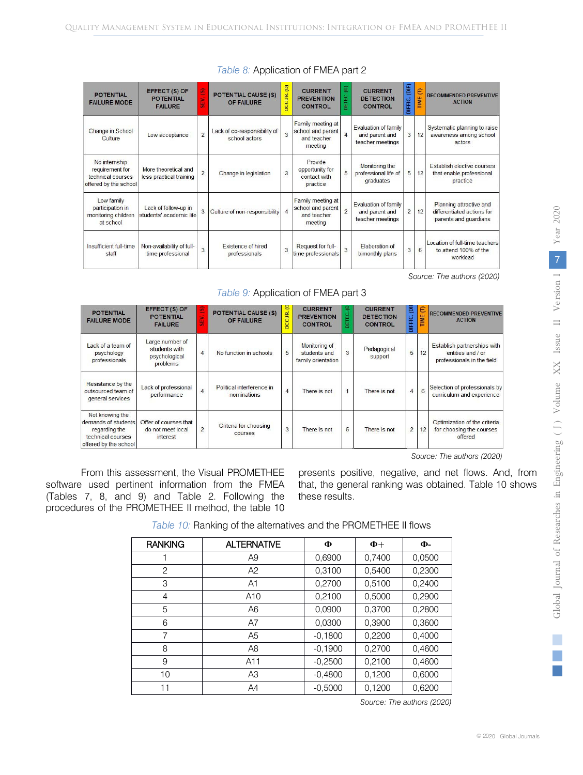| <b>POTENTIAL</b><br><b>FAILURE MODE</b>                                        | EFFECT (S) OF<br><b>POTENTIAL</b><br><b>FAILURE</b> |                          | <b>POTENTIAL CAUSE (S)</b><br>OF FAILURE      | <b>DCCUR. (O)</b> | <b>CURRENT</b><br><b>PREVENTION</b><br><b>CONTROL</b>            | ē<br>Ë٤.<br>头  | <b>CURRENT</b><br><b>DETECTION</b><br><b>CONTROL</b>       | $\mathbb{E}$<br>DIFFIC. | €<br>TIME       | <b>RECOMMENDED PREVENTIVE</b><br><b>ACTION</b>                                 |
|--------------------------------------------------------------------------------|-----------------------------------------------------|--------------------------|-----------------------------------------------|-------------------|------------------------------------------------------------------|----------------|------------------------------------------------------------|-------------------------|-----------------|--------------------------------------------------------------------------------|
| Change in School<br>Culture                                                    | Low acceptance                                      | $\overline{\phantom{0}}$ | Lack of co-responsibility of<br>school actors | 3                 | Family meeting at<br>school and parent<br>and teacher<br>meeting | $\overline{4}$ | Evaluation of family<br>and parent and<br>teacher meetings | 3                       | 12              | Systematic planning to raise<br>awareness among school<br>actors               |
| No internship<br>requirement for<br>technical courses<br>offered by the school | More theoretical and<br>less practical training     | $\overline{2}$           | Change in legislation                         | 3                 | Provide<br>opportunity for<br>contact with<br>practice           | $\overline{5}$ | Monitoring the<br>professional life of<br>graduates        | 5                       | 12              | Establish elective courses<br>that enable professional<br>practice             |
| Low family<br>participation in<br>monitoring children<br>at school             | Lack of follow-up in<br>students' academic life     |                          | Culture of non-responsibility                 |                   | Family meeting at<br>school and parent<br>and teacher<br>meeting | $\overline{2}$ | Evaluation of family<br>and parent and<br>teacher meetings | $\overline{2}$          | 12              | Planning attractive and<br>differentiated actions for<br>parents and quardians |
| Insufficient full-time<br>staff                                                | Non-availability of full-<br>time professional      | 3                        | <b>Existence of hired</b><br>professionals    | 3                 | Request for full-<br>time professionals                          | $\overline{3}$ | Elaboration of<br>bimonthly plans                          | 3                       | $6\overline{6}$ | Location of full-time teachers<br>to attend 100% of the<br>workload            |

## *Table 8:* Application of FMEA part 2

 *Source: The authors (2020)*

## *Table 9:* Application of FMEA part 3

| <b>POTENTIAL</b><br><b>FAILURE MODE</b>                                                               | EFFECT (S) OF<br><b>POTENTIAL</b><br><b>FAILURE</b>           | u.<br>٠        | <b>POTENTIAL CAUSE (S)</b><br>OF FAILURE | <b>DCCUR.</b> (C | <b>CURRENT</b><br><b>PREVENTION</b><br><b>CONTROL</b>      | e<br>۲<br>ч | <b>CURRENT</b><br><b>DETECTION</b><br><b>CONTROL</b> | ē<br>DIFFIC.   | Ε<br><b>TIME</b> | <b>RECOMMENDED PREVENTIVE</b><br><b>ACTION</b>                                 |
|-------------------------------------------------------------------------------------------------------|---------------------------------------------------------------|----------------|------------------------------------------|------------------|------------------------------------------------------------|-------------|------------------------------------------------------|----------------|------------------|--------------------------------------------------------------------------------|
| Lack of a team of<br>psychology<br>professionals                                                      | Large number of<br>students with<br>psychological<br>problems | $\overline{4}$ | No function in schools                   | $\overline{5}$   | <b>Monitoring of</b><br>students and<br>family orientation | 3           | Pedagogical<br>support                               | 5              | 12               | Establish partnerships with<br>entities and / or<br>professionals in the field |
| Resistance by the<br>outsourced team of<br>general services                                           | Lack of professional<br>performance                           | $\overline{4}$ | Political interference in<br>nominations | $\overline{4}$   | There is not                                               |             | There is not                                         | $\overline{4}$ | 6                | Selection of professionals by<br>curriculum and experience                     |
| Not knowing the<br>demands of students<br>regarding the<br>technical courses<br>offered by the school | Offer of courses that<br>do not meet local<br>interest        | $\overline{2}$ | Criteria for choosing<br>courses         | 3                | There is not                                               | 5           | There is not                                         | $\overline{c}$ | 12               | Optimization of the criteria<br>for choosing the courses<br>offered            |

 *Source: The authors (2020)*

From this assessment, the Visual PROMETHEE software used pertinent information from the FMEA (Tables 7, 8, and 9) and Table 2. Following the procedures of the PROMETHEE II method, the table 10

presents positive, negative, and net flows. And, from that, the general ranking was obtained. Table 10 shows these results.

| <b>RANKING</b> | <b>ALTERNATIVE</b> | Φ         | $\Phi$ + | Ф-     |
|----------------|--------------------|-----------|----------|--------|
|                | A9                 | 0,6900    | 0,7400   | 0,0500 |
| $\overline{c}$ | A2                 | 0,3100    | 0,5400   | 0,2300 |
| 3              | A1                 | 0,2700    | 0,5100   | 0,2400 |
| 4              | A <sub>10</sub>    | 0,2100    | 0.5000   | 0,2900 |
| 5              | A <sub>6</sub>     | 0.0900    | 0.3700   | 0,2800 |
| 6              | A7                 | 0,0300    | 0,3900   | 0,3600 |
| 7              | A <sub>5</sub>     | $-0.1800$ | 0,2200   | 0,4000 |
| 8              | A8                 | $-0.1900$ | 0,2700   | 0,4600 |
| 9              | A11                | $-0,2500$ | 0,2100   | 0,4600 |
| 10             | A <sub>3</sub>     | $-0.4800$ | 0,1200   | 0,6000 |
| 11             | A4                 | $-0.5000$ | 0.1200   | 0.6200 |

*Table 10:* Ranking of the alternatives and the PROMETHEE II flows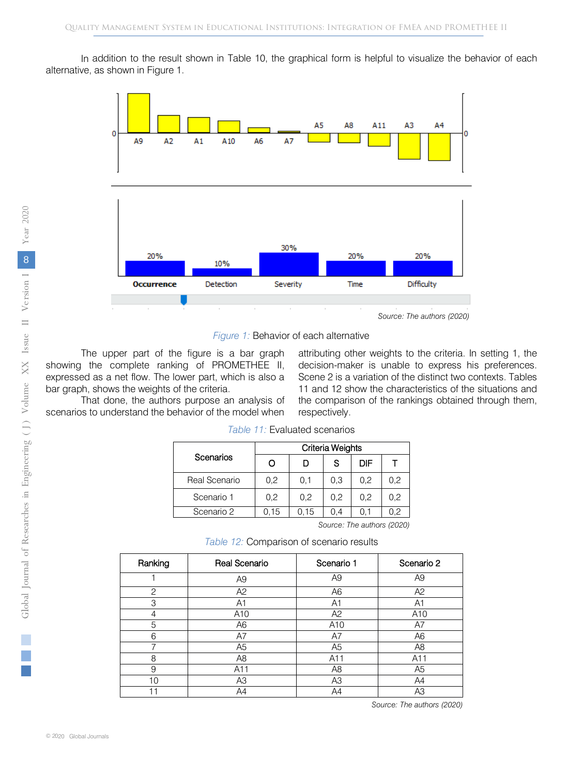In addition to the result shown in Table 10, the graphical form is helpful to visualize the behavior of each alternative, as shown in Figure 1.



*Figure 1:* Behavior of each alternative

The upper part of the figure is a bar graph showing the complete ranking of PROMETHEE II, expressed as a net flow. The lower part, which is also a bar graph, shows the weights of the criteria.

attributing other weights to the criteria. In setting 1, the decision-maker is unable to express his preferences. Scene 2 is a variation of the distinct two contexts. Tables 11 and 12 show the characteristics of the situations and the comparison of the rankings obtained through them, respectively.

That done, the authors purpose an analysis of scenarios to understand the behavior of the model when

*Table 11:* Evaluated scenarios

|               | Criteria Weights |      |      |     |     |  |  |
|---------------|------------------|------|------|-----|-----|--|--|
| Scenarios     | O                |      | S    | DIF |     |  |  |
| Real Scenario | 0,2              | 0.1  | 0.3  | 0,2 | 0,2 |  |  |
| Scenario 1    | 0,2              | 0.2  | 0,2  | 0,2 | 0,2 |  |  |
| Scenario 2    | 0.15             | 0.15 | () 4 |     | 0.2 |  |  |

 *Source: The authors (2020)*

*Table 12:* Comparison of scenario results

| Ranking      | Real Scenario  | Scenario 1      | Scenario 2      |
|--------------|----------------|-----------------|-----------------|
|              | A <sub>9</sub> | A <sub>9</sub>  | A <sub>9</sub>  |
| $\mathbf{2}$ | A2             | A6              | A2              |
| 3            | A1             | A1              | A <sub>1</sub>  |
| 4            | A10            | A2              | A <sub>10</sub> |
| 5            | A <sub>6</sub> | A <sub>10</sub> | A7              |
| 6            | A7             | A7              | A <sub>6</sub>  |
| 7            | A <sub>5</sub> | A <sub>5</sub>  | A8              |
| 8            | A8             | A11             | A11             |
| 9            | A11            | A <sub>8</sub>  | A <sub>5</sub>  |
| 10           | A <sub>3</sub> | A3              | A4              |
|              | A4             | A4              | A <sub>3</sub>  |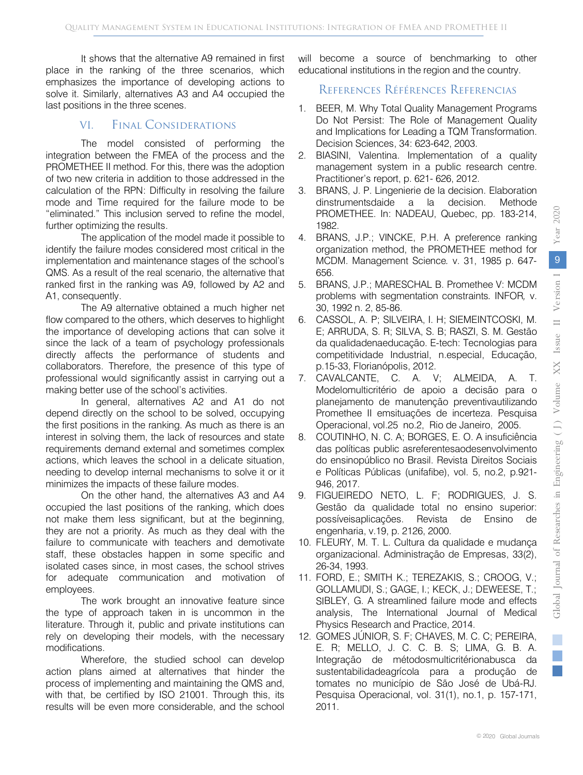It shows that the alternative A9 remained in first place in the ranking of the three scenarios, which emphasizes the importance of developing actions to solve it. Similarly, alternatives A3 and A4 occupied the last positions in the three scenes.

## VI. Final Considerations

The model consisted of performing the integration between the FMEA of the process and the PROMETHEE II method. For this, there was the adoption of two new criteria in addition to those addressed in the calculation of the RPN: Difficulty in resolving the failure mode and Time required for the failure mode to be "eliminated." This inclusion served to refine the model, further optimizing the results.

The application of the model made it possible to identify the failure modes considered most critical in the implementation and maintenance stages of the school's QMS. As a result of the real scenario, the alternative that ranked first in the ranking was A9, followed by A2 and A1, consequently.

The A9 alternative obtained a much higher net flow compared to the others, which deserves to highlight the importance of developing actions that can solve it since the lack of a team of psychology professionals directly affects the performance of students and collaborators. Therefore, the presence of this type of professional would significantly assist in carrying out a making better use of the school's activities.

In general, alternatives A2 and A1 do not depend directly on the school to be solved, occupying the first positions in the ranking. As much as there is an interest in solving them, the lack of resources and state requirements demand external and sometimes complex actions, which leaves the school in a delicate situation, needing to develop internal mechanisms to solve it or it minimizes the impacts of these failure modes.

On the other hand, the alternatives A3 and A4 occupied the last positions of the ranking, which does not make them less significant, but at the beginning, they are not a priority. As much as they deal with the failure to communicate with teachers and demotivate staff, these obstacles happen in some specific and isolated cases since, in most cases, the school strives for adequate communication and motivation of employees.

The work brought an innovative feature since the type of approach taken in is uncommon in the literature. Through it, public and private institutions can rely on developing their models, with the necessary modifications.

Wherefore, the studied school can develop action plans aimed at alternatives that hinder the process of implementing and maintaining the QMS and, with that, be certified by ISO 21001. Through this, its results will be even more considerable, and the school will become a source of benchmarking to other educational institutions in the region and the country.

## References Références Referencias

- 1. BEER, M. Why Total Quality Management Programs Do Not Persist: The Role of Management Quality and Implications for Leading a TQM Transformation. Decision Sciences, 34: 623-642, 2003.
- 2. BIASINI, Valentina. Implementation of a quality management system in a public research centre. Practitioner's report, p. 621- 626, 2012.
- 3. BRANS, J. P. Lingenierie de la decision. Elaboration dinstrumentsdaide a la decision. Methode PROMETHEE. In: NADEAU, Quebec, pp. 183-214, 1982.
- 4. BRANS, J.P.; VINCKE, P.H. A preference ranking organization method, the PROMETHEE method for MCDM. Management Science*.* v. 31, 1985 p. 647- 656.
- 5. BRANS, J.P.; MARESCHAL B. Promethee V: MCDM problems with segmentation constraints*.* INFOR*,* v. 30, 1992 n. 2, 85-86.
- 6. CASSOL, A. P; SILVEIRA, I. H; SIEMEINTCOSKI, M. E; ARRUDA, S. R; SILVA, S. B; RASZI, S. M. Gestão da qualidadenaeducação. E-tech: Tecnologias para competitividade Industrial, n.especial, Educação, p.15-33, Florianópolis, 2012.
- 7. CAVALCANTE, C. A. V; ALMEIDA, A. T. Modelomulticritério de apoio a decisão para o planejamento de manutenção preventivautilizando Promethee II emsituações de incerteza. Pesquisa Operacional, vol.25 no.2, Rio de Janeiro, 2005.
- 8. COUTINHO, N. C. A; BORGES, E. O. A insuficiência das políticas public asreferentesaodesenvolvimento do ensinopúblico no Brasil. Revista Direitos Sociais e Políticas Públicas (unifafibe), vol. 5, no.2, p.921- 946, 2017.
- 9. FIGUEIREDO NETO, L. F; RODRIGUES, J. S. Gestão da qualidade total no ensino superior: possíveisaplicações. Revista de Ensino de engenharia, v.19, p. 2126, 2000.
- 10. FLEURY, M. T. L. Cultura da qualidade e mudança organizacional. Administração de Empresas, 33(2), 26-34, 1993.
- 11. FORD, E.; SMITH K.; TEREZAKIS, S.; CROOG, V.; GOLLAMUDI, S.; GAGE, I.; KECK, J.; DEWEESE, T.; SIBLEY, G. A streamlined failure mode and effects analysis, The International Journal of Medical Physics Research and Practice, 2014.
- 12. GOMES JÚNIOR, S. F; CHAVES, M. C. C; PEREIRA, E. R; MELLO, J. C. C. B. S; LIMA, G. B. A. Integração de métodosmulticritérionabusca da sustentabilidadeagrícola para a produção de tomates no município de São José de Ubá-RJ. Pesquisa Operacional, vol. 31(1), no.1, p. 157-171, 2011.